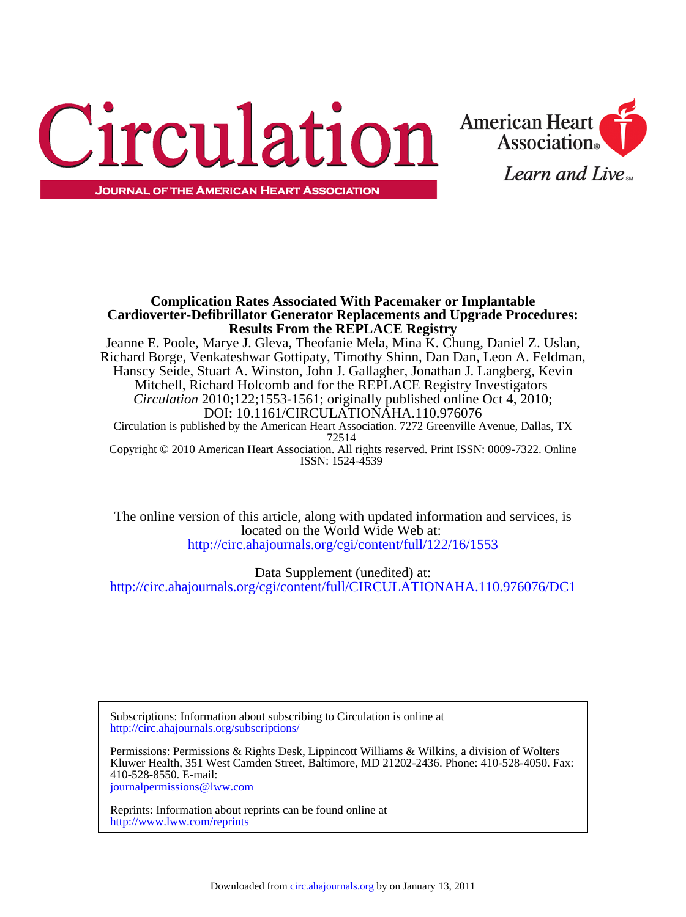



**JOURNAL OF THE AMERICAN HEART ASSOCIATION** 

# Mitchell, Richard Holcomb and for the REPLACE Registry Investigators Hanscy Seide, Stuart A. Winston, John J. Gallagher, Jonathan J. Langberg, Kevin Richard Borge, Venkateshwar Gottipaty, Timothy Shinn, Dan Dan, Leon A. Feldman, Jeanne E. Poole, Marye J. Gleva, Theofanie Mela, Mina K. Chung, Daniel Z. Uslan, **Results From the REPLACE Registry Cardioverter-Defibrillator Generator Replacements and Upgrade Procedures: Complication Rates Associated With Pacemaker or Implantable**

ISSN: 1524-4539 Copyright © 2010 American Heart Association. All rights reserved. Print ISSN: 0009-7322. Online 72514 Circulation is published by the American Heart Association. 7272 Greenville Avenue, Dallas, TX DOI: 10.1161/CIRCULATIONAHA.110.976076 *Circulation* 2010;122;1553-1561; originally published online Oct 4, 2010;

<http://circ.ahajournals.org/cgi/content/full/122/16/1553> located on the World Wide Web at: The online version of this article, along with updated information and services, is

Data Supplement (unedited) at:

<http://circ.ahajournals.org/cgi/content/full/CIRCULATIONAHA.110.976076/DC1>

<http://circ.ahajournals.org/subscriptions/> Subscriptions: Information about subscribing to Circulation is online at

[journalpermissions@lww.com](mailto:journalpermissions@lww.com) 410-528-8550. E-mail: Kluwer Health, 351 West Camden Street, Baltimore, MD 21202-2436. Phone: 410-528-4050. Fax: Permissions: Permissions & Rights Desk, Lippincott Williams & Wilkins, a division of Wolters

<http://www.lww.com/reprints> Reprints: Information about reprints can be found online at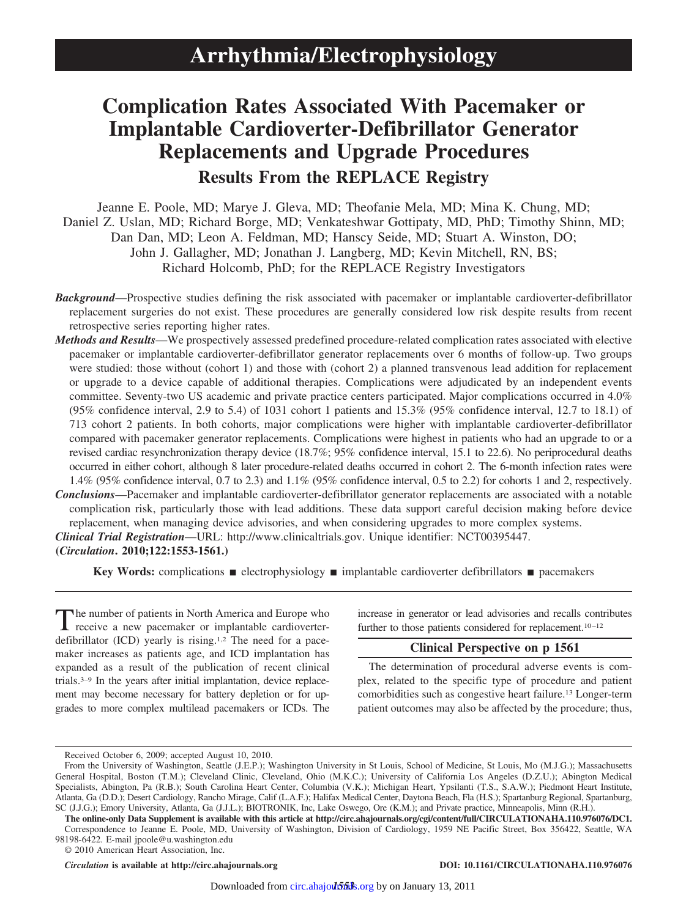# **Complication Rates Associated With Pacemaker or Implantable Cardioverter-Defibrillator Generator Replacements and Upgrade Procedures Results From the REPLACE Registry**

Jeanne E. Poole, MD; Marye J. Gleva, MD; Theofanie Mela, MD; Mina K. Chung, MD; Daniel Z. Uslan, MD; Richard Borge, MD; Venkateshwar Gottipaty, MD, PhD; Timothy Shinn, MD; Dan Dan, MD; Leon A. Feldman, MD; Hanscy Seide, MD; Stuart A. Winston, DO; John J. Gallagher, MD; Jonathan J. Langberg, MD; Kevin Mitchell, RN, BS; Richard Holcomb, PhD; for the REPLACE Registry Investigators

- *Background*—Prospective studies defining the risk associated with pacemaker or implantable cardioverter-defibrillator replacement surgeries do not exist. These procedures are generally considered low risk despite results from recent retrospective series reporting higher rates.
- *Methods and Results*—We prospectively assessed predefined procedure-related complication rates associated with elective pacemaker or implantable cardioverter-defibrillator generator replacements over 6 months of follow-up. Two groups were studied: those without (cohort 1) and those with (cohort 2) a planned transvenous lead addition for replacement or upgrade to a device capable of additional therapies. Complications were adjudicated by an independent events committee. Seventy-two US academic and private practice centers participated. Major complications occurred in 4.0% (95% confidence interval, 2.9 to 5.4) of 1031 cohort 1 patients and 15.3% (95% confidence interval, 12.7 to 18.1) of 713 cohort 2 patients. In both cohorts, major complications were higher with implantable cardioverter-defibrillator compared with pacemaker generator replacements. Complications were highest in patients who had an upgrade to or a revised cardiac resynchronization therapy device (18.7%; 95% confidence interval, 15.1 to 22.6). No periprocedural deaths occurred in either cohort, although 8 later procedure-related deaths occurred in cohort 2. The 6-month infection rates were 1.4% (95% confidence interval, 0.7 to 2.3) and 1.1% (95% confidence interval, 0.5 to 2.2) for cohorts 1 and 2, respectively.
- *Conclusions*—Pacemaker and implantable cardioverter-defibrillator generator replacements are associated with a notable complication risk, particularly those with lead additions. These data support careful decision making before device replacement, when managing device advisories, and when considering upgrades to more complex systems.

*Clinical Trial Registration*—URL: http://www.clinicaltrials.gov. Unique identifier: NCT00395447.

## **(***Circulation***. 2010;122:1553-1561.)**

**Key Words:** complications  $\blacksquare$  electrophysiology  $\blacksquare$  implantable cardioverter defibrillators  $\blacksquare$  pacemakers

The number of patients in North America and Europe who<br>receive a new pacemaker or implantable cardioverterdefibrillator (ICD) yearly is rising.1,2 The need for a pacemaker increases as patients age, and ICD implantation has expanded as a result of the publication of recent clinical trials.3–9 In the years after initial implantation, device replacement may become necessary for battery depletion or for upgrades to more complex multilead pacemakers or ICDs. The

increase in generator or lead advisories and recalls contributes further to those patients considered for replacement.<sup>10-12</sup>

# **Clinical Perspective on p 1561**

The determination of procedural adverse events is complex, related to the specific type of procedure and patient comorbidities such as congestive heart failure.13 Longer-term patient outcomes may also be affected by the procedure; thus,

© 2010 American Heart Association, Inc.

Received October 6, 2009; accepted August 10, 2010.

From the University of Washington, Seattle (J.E.P.); Washington University in St Louis, School of Medicine, St Louis, Mo (M.J.G.); Massachusetts General Hospital, Boston (T.M.); Cleveland Clinic, Cleveland, Ohio (M.K.C.); University of California Los Angeles (D.Z.U.); Abington Medical Specialists, Abington, Pa (R.B.); South Carolina Heart Center, Columbia (V.K.); Michigan Heart, Ypsilanti (T.S., S.A.W.); Piedmont Heart Institute, Atlanta, Ga (D.D.); Desert Cardiology, Rancho Mirage, Calif (L.A.F.); Halifax Medical Center, Daytona Beach, Fla (H.S.); Spartanburg Regional, Spartanburg, SC (J.J.G.); Emory University, Atlanta, Ga (J.J.L.); BIOTRONIK, Inc, Lake Oswego, Ore (K.M.); and Private practice, Minneapolis, Minn (R.H.).

**The online-only Data Supplement is available with this article at http://circ.ahajournals.org/cgi/content/full/CIRCULATIONAHA.110.976076/DC1.** Correspondence to Jeanne E. Poole, MD, University of Washington, Division of Cardiology, 1959 NE Pacific Street, Box 356422, Seattle, WA 98198-6422. E-mail jpoole@u.washington.edu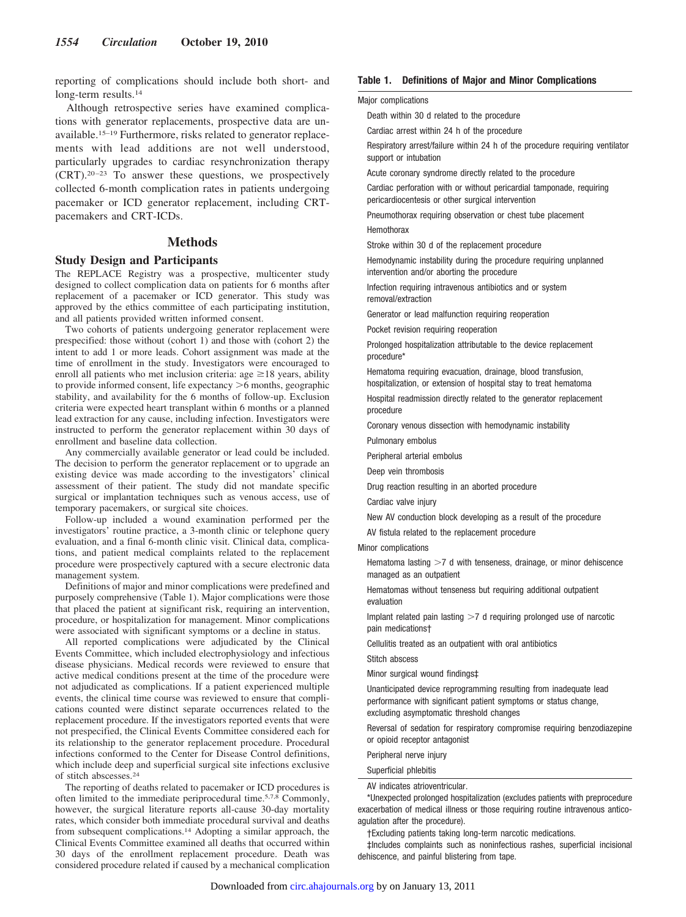reporting of complications should include both short- and long-term results.<sup>14</sup>

Although retrospective series have examined complications with generator replacements, prospective data are unavailable.15–19 Furthermore, risks related to generator replacements with lead additions are not well understood, particularly upgrades to cardiac resynchronization therapy  $(CRT)$ .<sup>20-23</sup> To answer these questions, we prospectively collected 6-month complication rates in patients undergoing pacemaker or ICD generator replacement, including CRTpacemakers and CRT-ICDs.

#### **Methods**

#### **Study Design and Participants**

The REPLACE Registry was a prospective, multicenter study designed to collect complication data on patients for 6 months after replacement of a pacemaker or ICD generator. This study was approved by the ethics committee of each participating institution, and all patients provided written informed consent.

Two cohorts of patients undergoing generator replacement were prespecified: those without (cohort 1) and those with (cohort 2) the intent to add 1 or more leads. Cohort assignment was made at the time of enrollment in the study. Investigators were encouraged to enroll all patients who met inclusion criteria: age  $\geq$  18 years, ability to provide informed consent, life expectancy  $>6$  months, geographic stability, and availability for the 6 months of follow-up. Exclusion criteria were expected heart transplant within 6 months or a planned lead extraction for any cause, including infection. Investigators were instructed to perform the generator replacement within 30 days of enrollment and baseline data collection.

Any commercially available generator or lead could be included. The decision to perform the generator replacement or to upgrade an existing device was made according to the investigators' clinical assessment of their patient. The study did not mandate specific surgical or implantation techniques such as venous access, use of temporary pacemakers, or surgical site choices.

Follow-up included a wound examination performed per the investigators' routine practice, a 3-month clinic or telephone query evaluation, and a final 6-month clinic visit. Clinical data, complications, and patient medical complaints related to the replacement procedure were prospectively captured with a secure electronic data management system.

Definitions of major and minor complications were predefined and purposely comprehensive (Table 1). Major complications were those that placed the patient at significant risk, requiring an intervention, procedure, or hospitalization for management. Minor complications were associated with significant symptoms or a decline in status.

All reported complications were adjudicated by the Clinical Events Committee, which included electrophysiology and infectious disease physicians. Medical records were reviewed to ensure that active medical conditions present at the time of the procedure were not adjudicated as complications. If a patient experienced multiple events, the clinical time course was reviewed to ensure that complications counted were distinct separate occurrences related to the replacement procedure. If the investigators reported events that were not prespecified, the Clinical Events Committee considered each for its relationship to the generator replacement procedure. Procedural infections conformed to the Center for Disease Control definitions, which include deep and superficial surgical site infections exclusive of stitch abscesses.24

The reporting of deaths related to pacemaker or ICD procedures is often limited to the immediate periprocedural time.5,7,8 Commonly, however, the surgical literature reports all-cause 30-day mortality rates, which consider both immediate procedural survival and deaths from subsequent complications.14 Adopting a similar approach, the Clinical Events Committee examined all deaths that occurred within 30 days of the enrollment replacement procedure. Death was considered procedure related if caused by a mechanical complication

#### **Table 1. Definitions of Major and Minor Complications**

Major complications

Death within 30 d related to the procedure

Cardiac arrest within 24 h of the procedure

Respiratory arrest/failure within 24 h of the procedure requiring ventilator support or intubation

Acute coronary syndrome directly related to the procedure

Cardiac perforation with or without pericardial tamponade, requiring pericardiocentesis or other surgical intervention

Pneumothorax requiring observation or chest tube placement Hemothorax

Stroke within 30 d of the replacement procedure

Hemodynamic instability during the procedure requiring unplanned intervention and/or aborting the procedure

Infection requiring intravenous antibiotics and or system removal/extraction

Generator or lead malfunction requiring reoperation

Pocket revision requiring reoperation

Prolonged hospitalization attributable to the device replacement procedure\*

Hematoma requiring evacuation, drainage, blood transfusion,

hospitalization, or extension of hospital stay to treat hematoma

Hospital readmission directly related to the generator replacement procedure

Coronary venous dissection with hemodynamic instability

Pulmonary embolus

Peripheral arterial embolus

Deep vein thrombosis

Drug reaction resulting in an aborted procedure

Cardiac valve injury

New AV conduction block developing as a result of the procedure

AV fistula related to the replacement procedure

Minor complications

Hematoma lasting  $>7$  d with tenseness, drainage, or minor dehiscence managed as an outpatient

Hematomas without tenseness but requiring additional outpatient evaluation

Implant related pain lasting  $>7$  d requiring prolonged use of narcotic pain medications†

Cellulitis treated as an outpatient with oral antibiotics

Stitch abscess

Minor surgical wound findings‡

Unanticipated device reprogramming resulting from inadequate lead performance with significant patient symptoms or status change, excluding asymptomatic threshold changes

Reversal of sedation for respiratory compromise requiring benzodiazepine or opioid receptor antagonist

Peripheral nerve injury

Superficial phlebitis

AV indicates atrioventricular.

\*Unexpected prolonged hospitalization (excludes patients with preprocedure exacerbation of medical illness or those requiring routine intravenous anticoagulation after the procedure).

†Excluding patients taking long-term narcotic medications.

‡Includes complaints such as noninfectious rashes, superficial incisional dehiscence, and painful blistering from tape.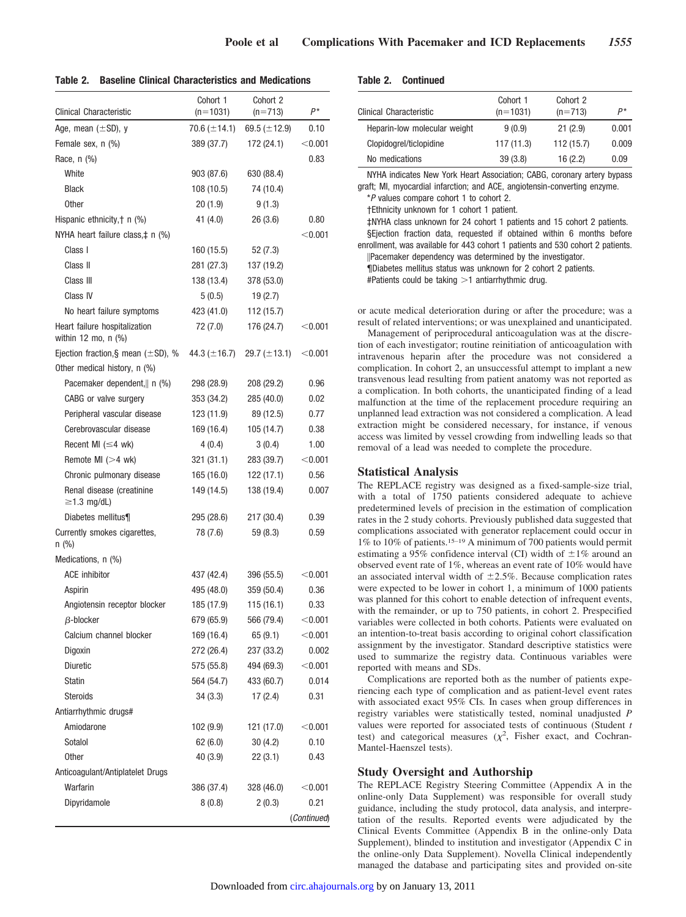| Table 2. Baseline Clinical Characteristics and Medications |  |  |  |
|------------------------------------------------------------|--|--|--|
|------------------------------------------------------------|--|--|--|

| <b>Clinical Characteristic</b>                 | Cohort 1<br>$(n=1031)$ | Cohort 2<br>$(n=713)$ | P*          |
|------------------------------------------------|------------------------|-----------------------|-------------|
| Age, mean $(\pm SD)$ , y                       | 70.6 ( $\pm$ 14.1)     | 69.5 ( $\pm$ 12.9)    | 0.10        |
| Female sex, n (%)                              | 389 (37.7)             | 172 (24.1)            | < 0.001     |
| Race, $n$ $\left(\% \right)$                   |                        |                       | 0.83        |
| White                                          | 903 (87.6)             | 630 (88.4)            |             |
| <b>Black</b>                                   | 108 (10.5)             | 74 (10.4)             |             |
| <b>Other</b>                                   | 20 (1.9)               | 9 (1.3)               |             |
| Hispanic ethnicity, † n (%)                    | 41 (4.0)               | 26 (3.6)              | 0.80        |
| NYHA heart failure class, ‡ n (%)              |                        |                       | < 0.001     |
| Class I                                        | 160 (15.5)             | 52 (7.3)              |             |
| Class II                                       | 281 (27.3)             | 137 (19.2)            |             |
| Class III                                      | 138 (13.4)             | 378 (53.0)            |             |
| Class IV                                       | 5(0.5)                 | 19 (2.7)              |             |
| No heart failure symptoms                      | 423 (41.0)             | 112 (15.7)            |             |
| Heart failure hospitalization                  | 72 (7.0)               | 176 (24.7)            | < 0.001     |
| within 12 mo, $n$ $\left(\frac{9}{6}\right)$   |                        |                       |             |
| Ejection fraction, § mean $(\pm SD)$ , %       | 44.3 ( $\pm$ 16.7)     | $29.7 (\pm 13.1)$     | < 0.001     |
| Other medical history, n (%)                   |                        |                       |             |
| Pacemaker dependent,    n (%)                  | 298 (28.9)             | 208 (29.2)            | 0.96        |
| CABG or valve surgery                          | 353 (34.2)             | 285 (40.0)            | 0.02        |
| Peripheral vascular disease                    | 123 (11.9)             | 89 (12.5)             | 0.77        |
| Cerebrovascular disease                        | 169 (16.4)             | 105 (14.7)            | 0.38        |
| Recent MI $(\leq 4$ wk)                        | 4 (0.4)                | 3 (0.4)               | 1.00        |
| Remote MI $(>4$ wk)                            | 321 (31.1)             | 283 (39.7)            | < 0.001     |
| Chronic pulmonary disease                      | 165 (16.0)             | 122 (17.1)            | 0.56        |
| Renal disease (creatinine<br>$\geq$ 1.3 mg/dL) | 149 (14.5)             | 138 (19.4)            | 0.007       |
| Diabetes mellitus¶                             | 295 (28.6)             | 217 (30.4)            | 0.39        |
| Currently smokes cigarettes,<br>n(%)           | 78 (7.6)               | 59 (8.3)              | 0.59        |
| Medications, n (%)                             |                        |                       |             |
| <b>ACE</b> inhibitor                           | 437 (42.4)             | 396 (55.5)            | $<$ 0.001   |
| Aspirin                                        | 495 (48.0)             | 359 (50.4)            | 0.36        |
| Angiotensin receptor blocker                   | 185 (17.9)             | 115 (16.1)            | 0.33        |
| $\beta$ -blocker                               | 679 (65.9)             | 566 (79.4)            | < 0.001     |
| Calcium channel blocker                        | 169 (16.4)             | 65(9.1)               | < 0.001     |
| Digoxin                                        | 272 (26.4)             | 237 (33.2)            | 0.002       |
| <b>Diuretic</b>                                | 575 (55.8)             | 494 (69.3)            | < 0.001     |
| <b>Statin</b>                                  | 564 (54.7)             | 433 (60.7)            | 0.014       |
| <b>Steroids</b>                                | 34(3.3)                | 17 (2.4)              | 0.31        |
| Antiarrhythmic drugs#                          |                        |                       |             |
| Amiodarone                                     | 102(9.9)               | 121 (17.0)            | < 0.001     |
| Sotalol                                        | 62(6.0)                | 30(4.2)               | 0.10        |
| <b>Other</b>                                   | 40(3.9)                | 22(3.1)               | 0.43        |
| Anticoagulant/Antiplatelet Drugs               |                        |                       |             |
| Warfarin                                       | 386 (37.4)             | 328 (46.0)            | $<$ 0.001   |
| Dipyridamole                                   | 8(0.8)                 | 2(0.3)                | 0.21        |
|                                                |                        |                       | (Continued) |

#### **Table 2. Continued**

| Clinical Characteristic      | Cohort 1<br>$(n=1031)$ | Cohort 2<br>$(n=713)$ | р*    |
|------------------------------|------------------------|-----------------------|-------|
| Heparin-low molecular weight | 9(0.9)                 | 21(2.9)               | 0.001 |
| Clopidogrel/ticlopidine      | 117 (11.3)             | 112 (15.7)            | 0.009 |
| No medications               | 39(3.8)                | 16(2.2)               | 0.09  |

NYHA indicates New York Heart Association; CABG, coronary artery bypass graft; MI, myocardial infarction; and ACE, angiotensin-converting enzyme.

\**P* values compare cohort 1 to cohort 2.

†Ethnicity unknown for 1 cohort 1 patient. ‡NYHA class unknown for 24 cohort 1 patients and 15 cohort 2 patients. §Ejection fraction data, requested if obtained within 6 months before enrollment, was available for 443 cohort 1 patients and 530 cohort 2 patients. -Pacemaker dependency was determined by the investigator. ¶Diabetes mellitus status was unknown for 2 cohort 2 patients. #Patients could be taking  $>1$  antiarrhythmic drug.

or acute medical deterioration during or after the procedure; was a result of related interventions; or was unexplained and unanticipated.

Management of periprocedural anticoagulation was at the discretion of each investigator; routine reinitiation of anticoagulation with intravenous heparin after the procedure was not considered a complication. In cohort 2, an unsuccessful attempt to implant a new transvenous lead resulting from patient anatomy was not reported as a complication. In both cohorts, the unanticipated finding of a lead malfunction at the time of the replacement procedure requiring an unplanned lead extraction was not considered a complication. A lead extraction might be considered necessary, for instance, if venous access was limited by vessel crowding from indwelling leads so that removal of a lead was needed to complete the procedure.

#### **Statistical Analysis**

The REPLACE registry was designed as a fixed-sample-size trial, with a total of 1750 patients considered adequate to achieve predetermined levels of precision in the estimation of complication rates in the 2 study cohorts. Previously published data suggested that complications associated with generator replacement could occur in 1% to 10% of patients.15–19 A minimum of 700 patients would permit estimating a 95% confidence interval (CI) width of  $\pm 1\%$  around an observed event rate of 1%, whereas an event rate of 10% would have an associated interval width of  $\pm 2.5\%$ . Because complication rates were expected to be lower in cohort 1, a minimum of 1000 patients was planned for this cohort to enable detection of infrequent events, with the remainder, or up to 750 patients, in cohort 2. Prespecified variables were collected in both cohorts. Patients were evaluated on an intention-to-treat basis according to original cohort classification assignment by the investigator. Standard descriptive statistics were used to summarize the registry data. Continuous variables were reported with means and SDs.

Complications are reported both as the number of patients experiencing each type of complication and as patient-level event rates with associated exact 95% CIs*.* In cases when group differences in registry variables were statistically tested, nominal unadjusted *P* values were reported for associated tests of continuous (Student *t* test) and categorical measures  $(\chi^2)$ , Fisher exact, and Cochran-Mantel-Haenszel tests).

#### **Study Oversight and Authorship**

The REPLACE Registry Steering Committee (Appendix A in the online-only Data Supplement) was responsible for overall study guidance, including the study protocol, data analysis, and interpretation of the results. Reported events were adjudicated by the Clinical Events Committee (Appendix B in the online-only Data Supplement), blinded to institution and investigator (Appendix C in the online-only Data Supplement). Novella Clinical independently managed the database and participating sites and provided on-site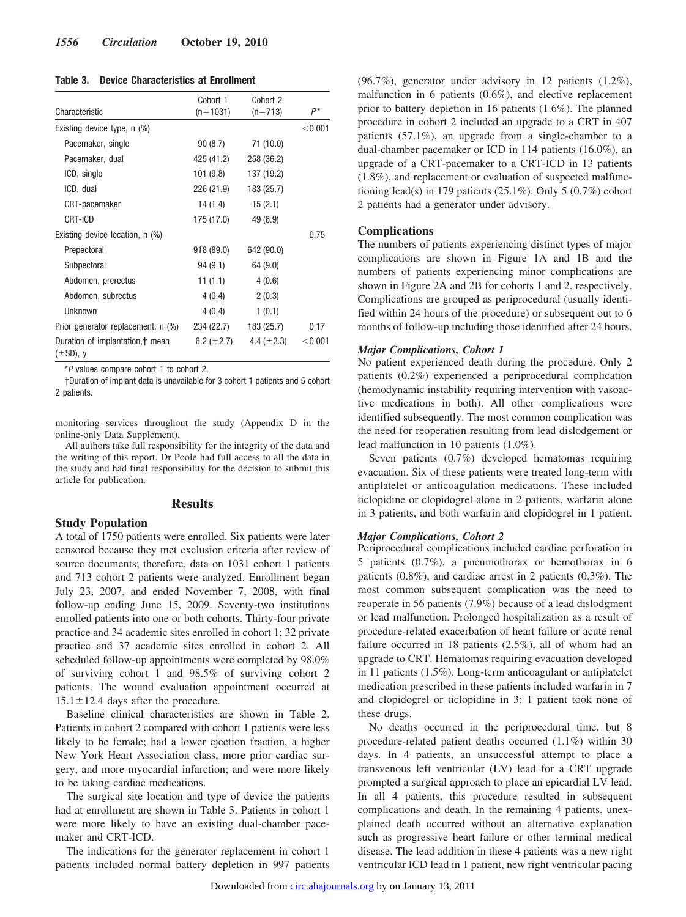|  | Table 3. Device Characteristics at Enrollment |  |  |
|--|-----------------------------------------------|--|--|
|--|-----------------------------------------------|--|--|

| Characteristic                                     | Cohort 1<br>$(n=1031)$ | Cohort 2<br>$(n=713)$ | $P^*$   |
|----------------------------------------------------|------------------------|-----------------------|---------|
| Existing device type, $n$ (%)                      |                        |                       | < 0.001 |
| Pacemaker, single                                  | 90(8.7)                | 71 (10.0)             |         |
| Pacemaker, dual                                    | 425 (41.2)             | 258 (36.2)            |         |
| ICD, single                                        | 101(9.8)               | 137 (19.2)            |         |
| ICD, dual                                          | 226 (21.9)             | 183 (25.7)            |         |
| CRT-pacemaker                                      | 14 (1.4)               | 15(2.1)               |         |
| CRT-ICD                                            | 175 (17.0)             | 49 (6.9)              |         |
| Existing device location, n (%)                    |                        |                       | 0.75    |
| Prepectoral                                        | 918(89.0)              | 642 (90.0)            |         |
| Subpectoral                                        | 94 (9.1)               | 64 (9.0)              |         |
| Abdomen, prerectus                                 | 11(1.1)                | 4(0.6)                |         |
| Abdomen, subrectus                                 | 4(0.4)                 | 2(0.3)                |         |
| Unknown                                            | 4(0.4)                 | 1(0.1)                |         |
| Prior generator replacement, n (%)                 | 234 (22.7)             | 183 (25.7)            | 0.17    |
| Duration of implantation, † mean<br>$(\pm SD)$ , y | 6.2 ( $\pm$ 2.7)       | 4.4 ( $\pm$ 3.3)      | < 0.001 |

\**P* values compare cohort 1 to cohort 2.

†Duration of implant data is unavailable for 3 cohort 1 patients and 5 cohort 2 patients.

monitoring services throughout the study (Appendix D in the online-only Data Supplement).

All authors take full responsibility for the integrity of the data and the writing of this report. Dr Poole had full access to all the data in the study and had final responsibility for the decision to submit this article for publication.

## **Results**

### **Study Population**

A total of 1750 patients were enrolled. Six patients were later censored because they met exclusion criteria after review of source documents; therefore, data on 1031 cohort 1 patients and 713 cohort 2 patients were analyzed. Enrollment began July 23, 2007, and ended November 7, 2008, with final follow-up ending June 15, 2009. Seventy-two institutions enrolled patients into one or both cohorts. Thirty-four private practice and 34 academic sites enrolled in cohort 1; 32 private practice and 37 academic sites enrolled in cohort 2. All scheduled follow-up appointments were completed by 98.0% of surviving cohort 1 and 98.5% of surviving cohort 2 patients. The wound evaluation appointment occurred at  $15.1 \pm 12.4$  days after the procedure.

Baseline clinical characteristics are shown in Table 2. Patients in cohort 2 compared with cohort 1 patients were less likely to be female; had a lower ejection fraction, a higher New York Heart Association class, more prior cardiac surgery, and more myocardial infarction; and were more likely to be taking cardiac medications.

The surgical site location and type of device the patients had at enrollment are shown in Table 3. Patients in cohort 1 were more likely to have an existing dual-chamber pacemaker and CRT-ICD.

The indications for the generator replacement in cohort 1 patients included normal battery depletion in 997 patients (96.7%), generator under advisory in 12 patients (1.2%), malfunction in 6 patients (0.6%), and elective replacement prior to battery depletion in 16 patients (1.6%). The planned procedure in cohort 2 included an upgrade to a CRT in 407 patients (57.1%), an upgrade from a single-chamber to a dual-chamber pacemaker or ICD in 114 patients (16.0%), an upgrade of a CRT-pacemaker to a CRT-ICD in 13 patients (1.8%), and replacement or evaluation of suspected malfunctioning lead(s) in 179 patients  $(25.1\%)$ . Only 5  $(0.7\%)$  cohort 2 patients had a generator under advisory.

#### **Complications**

The numbers of patients experiencing distinct types of major complications are shown in Figure 1A and 1B and the numbers of patients experiencing minor complications are shown in Figure 2A and 2B for cohorts 1 and 2, respectively. Complications are grouped as periprocedural (usually identified within 24 hours of the procedure) or subsequent out to 6 months of follow-up including those identified after 24 hours.

#### *Major Complications, Cohort 1*

No patient experienced death during the procedure. Only 2 patients (0.2%) experienced a periprocedural complication (hemodynamic instability requiring intervention with vasoactive medications in both). All other complications were identified subsequently. The most common complication was the need for reoperation resulting from lead dislodgement or lead malfunction in 10 patients (1.0%).

Seven patients (0.7%) developed hematomas requiring evacuation. Six of these patients were treated long-term with antiplatelet or anticoagulation medications. These included ticlopidine or clopidogrel alone in 2 patients, warfarin alone in 3 patients, and both warfarin and clopidogrel in 1 patient.

#### *Major Complications, Cohort 2*

Periprocedural complications included cardiac perforation in 5 patients (0.7%), a pneumothorax or hemothorax in 6 patients (0.8%), and cardiac arrest in 2 patients (0.3%). The most common subsequent complication was the need to reoperate in 56 patients (7.9%) because of a lead dislodgment or lead malfunction. Prolonged hospitalization as a result of procedure-related exacerbation of heart failure or acute renal failure occurred in 18 patients (2.5%), all of whom had an upgrade to CRT. Hematomas requiring evacuation developed in 11 patients (1.5%). Long-term anticoagulant or antiplatelet medication prescribed in these patients included warfarin in 7 and clopidogrel or ticlopidine in 3; 1 patient took none of these drugs.

No deaths occurred in the periprocedural time, but 8 procedure-related patient deaths occurred (1.1%) within 30 days. In 4 patients, an unsuccessful attempt to place a transvenous left ventricular (LV) lead for a CRT upgrade prompted a surgical approach to place an epicardial LV lead. In all 4 patients, this procedure resulted in subsequent complications and death. In the remaining 4 patients, unexplained death occurred without an alternative explanation such as progressive heart failure or other terminal medical disease. The lead addition in these 4 patients was a new right ventricular ICD lead in 1 patient, new right ventricular pacing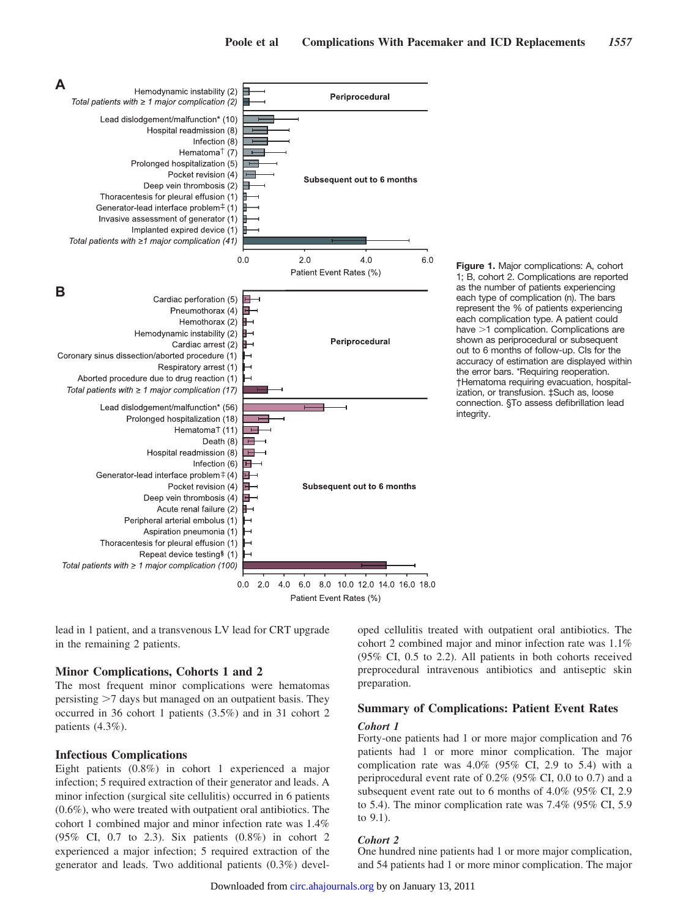

**Figure 1.** Major complications: A, cohort 1; B, cohort 2. Complications are reported as the number of patients experiencing each type of complication (n). The bars represent the % of patients experiencing each complication type. A patient could have >1 complication. Complications are shown as periprocedural or subsequent out to 6 months of follow-up. CIs for the accuracy of estimation are displayed within the error bars. \*Requiring reoperation. †Hematoma requiring evacuation, hospitalization, or transfusion. ‡Such as, loose connection. §To assess defibrillation lead integrity.

lead in 1 patient, and a transvenous LV lead for CRT upgrade in the remaining 2 patients.

#### **Minor Complications, Cohorts 1 and 2**

The most frequent minor complications were hematomas persisting  $>7$  days but managed on an outpatient basis. They occurred in 36 cohort 1 patients (3.5%) and in 31 cohort 2 patients (4.3%).

## **Infectious Complications**

Eight patients (0.8%) in cohort 1 experienced a major infection; 5 required extraction of their generator and leads. A minor infection (surgical site cellulitis) occurred in 6 patients (0.6%), who were treated with outpatient oral antibiotics. The cohort 1 combined major and minor infection rate was 1.4% (95% CI, 0.7 to 2.3). Six patients (0.8%) in cohort 2 experienced a major infection; 5 required extraction of the generator and leads. Two additional patients (0.3%) developed cellulitis treated with outpatient oral antibiotics. The cohort 2 combined major and minor infection rate was 1.1% (95% CI, 0.5 to 2.2). All patients in both cohorts received preprocedural intravenous antibiotics and antiseptic skin preparation.

## **Summary of Complications: Patient Event Rates**

## *Cohort 1*

Forty-one patients had 1 or more major complication and 76 patients had 1 or more minor complication. The major complication rate was 4.0% (95% CI, 2.9 to 5.4) with a periprocedural event rate of 0.2% (95% CI, 0.0 to 0.7) and a subsequent event rate out to 6 months of 4.0% (95% CI, 2.9 to 5.4). The minor complication rate was 7.4% (95% CI, 5.9 to 9.1).

## *Cohort 2*

One hundred nine patients had 1 or more major complication, and 54 patients had 1 or more minor complication. The major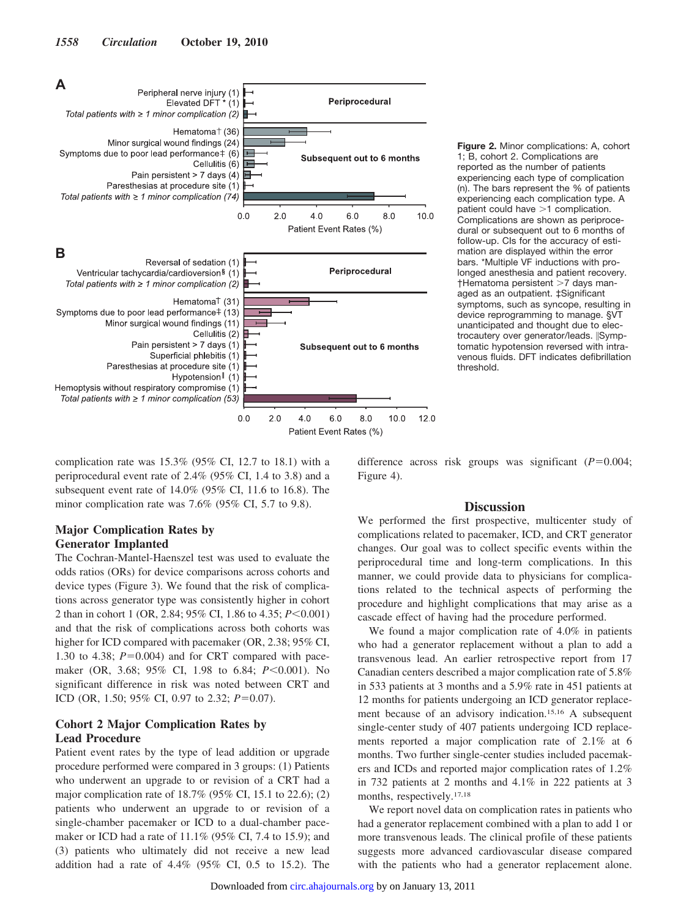

**Figure 2.** Minor complications: A, cohort 1; B, cohort 2. Complications are reported as the number of patients experiencing each type of complication (n). The bars represent the % of patients experiencing each complication type. A patient could have  $>1$  complication. Complications are shown as periprocedural or subsequent out to 6 months of follow-up. CIs for the accuracy of estimation are displayed within the error bars. \*Multiple VF inductions with prolonged anesthesia and patient recovery. †Hematoma persistent 7 days managed as an outpatient. ‡Significant symptoms, such as syncope, resulting in device reprogramming to manage. §VT unanticipated and thought due to electrocautery over generator/leads. ||Symptomatic hypotension reversed with intravenous fluids. DFT indicates defibrillation threshold.

complication rate was 15.3% (95% CI, 12.7 to 18.1) with a periprocedural event rate of 2.4% (95% CI, 1.4 to 3.8) and a subsequent event rate of 14.0% (95% CI, 11.6 to 16.8). The minor complication rate was 7.6% (95% CI, 5.7 to 9.8).

## **Major Complication Rates by Generator Implanted**

The Cochran-Mantel-Haenszel test was used to evaluate the odds ratios (ORs) for device comparisons across cohorts and device types (Figure 3). We found that the risk of complications across generator type was consistently higher in cohort 2 than in cohort 1 (OR, 2.84; 95% CI, 1.86 to 4.35; *P*<0.001) and that the risk of complications across both cohorts was higher for ICD compared with pacemaker (OR, 2.38; 95% CI, 1.30 to 4.38;  $P=0.004$ ) and for CRT compared with pacemaker (OR, 3.68; 95% CI, 1.98 to 6.84; *P*<0.001). No significant difference in risk was noted between CRT and ICD (OR, 1.50; 95% CI, 0.97 to 2.32; *P*=0.07).

# **Cohort 2 Major Complication Rates by Lead Procedure**

Patient event rates by the type of lead addition or upgrade procedure performed were compared in 3 groups: (1) Patients who underwent an upgrade to or revision of a CRT had a major complication rate of 18.7% (95% CI, 15.1 to 22.6); (2) patients who underwent an upgrade to or revision of a single-chamber pacemaker or ICD to a dual-chamber pacemaker or ICD had a rate of 11.1% (95% CI, 7.4 to 15.9); and (3) patients who ultimately did not receive a new lead addition had a rate of 4.4% (95% CI, 0.5 to 15.2). The difference across risk groups was significant  $(P=0.004)$ ; Figure 4).

## **Discussion**

We performed the first prospective, multicenter study of complications related to pacemaker, ICD, and CRT generator changes. Our goal was to collect specific events within the periprocedural time and long-term complications. In this manner, we could provide data to physicians for complications related to the technical aspects of performing the procedure and highlight complications that may arise as a cascade effect of having had the procedure performed.

We found a major complication rate of 4.0% in patients who had a generator replacement without a plan to add a transvenous lead. An earlier retrospective report from 17 Canadian centers described a major complication rate of 5.8% in 533 patients at 3 months and a 5.9% rate in 451 patients at 12 months for patients undergoing an ICD generator replacement because of an advisory indication.15,16 A subsequent single-center study of 407 patients undergoing ICD replacements reported a major complication rate of 2.1% at 6 months. Two further single-center studies included pacemakers and ICDs and reported major complication rates of 1.2% in 732 patients at 2 months and 4.1% in 222 patients at 3 months, respectively.17,18

We report novel data on complication rates in patients who had a generator replacement combined with a plan to add 1 or more transvenous leads. The clinical profile of these patients suggests more advanced cardiovascular disease compared with the patients who had a generator replacement alone.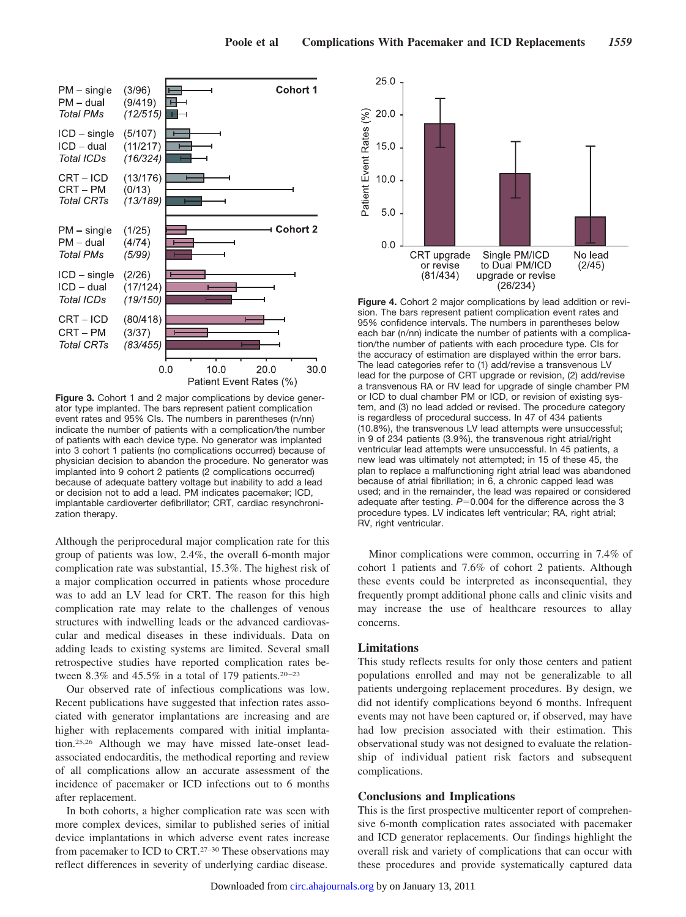

**Figure 3.** Cohort 1 and 2 major complications by device generator type implanted. The bars represent patient complication event rates and 95% CIs. The numbers in parentheses (n/nn) indicate the number of patients with a complication/the number of patients with each device type. No generator was implanted into 3 cohort 1 patients (no complications occurred) because of physician decision to abandon the procedure. No generator was implanted into 9 cohort 2 patients (2 complications occurred) because of adequate battery voltage but inability to add a lead or decision not to add a lead. PM indicates pacemaker; ICD, implantable cardioverter defibrillator; CRT, cardiac resynchronization therapy.

Although the periprocedural major complication rate for this group of patients was low, 2.4%, the overall 6-month major complication rate was substantial, 15.3%. The highest risk of a major complication occurred in patients whose procedure was to add an LV lead for CRT. The reason for this high complication rate may relate to the challenges of venous structures with indwelling leads or the advanced cardiovascular and medical diseases in these individuals. Data on adding leads to existing systems are limited. Several small retrospective studies have reported complication rates between 8.3% and 45.5% in a total of 179 patients.<sup>20-23</sup>

Our observed rate of infectious complications was low. Recent publications have suggested that infection rates associated with generator implantations are increasing and are higher with replacements compared with initial implantation.25,26 Although we may have missed late-onset leadassociated endocarditis, the methodical reporting and review of all complications allow an accurate assessment of the incidence of pacemaker or ICD infections out to 6 months after replacement.

In both cohorts, a higher complication rate was seen with more complex devices, similar to published series of initial device implantations in which adverse event rates increase from pacemaker to ICD to CRT.27–30 These observations may reflect differences in severity of underlying cardiac disease.



**Figure 4.** Cohort 2 major complications by lead addition or revision. The bars represent patient complication event rates and 95% confidence intervals. The numbers in parentheses below each bar (n/nn) indicate the number of patients with a complication/the number of patients with each procedure type. CIs for the accuracy of estimation are displayed within the error bars. The lead categories refer to (1) add/revise a transvenous LV lead for the purpose of CRT upgrade or revision, (2) add/revise a transvenous RA or RV lead for upgrade of single chamber PM or ICD to dual chamber PM or ICD, or revision of existing system, and (3) no lead added or revised. The procedure category is regardless of procedural success. In 47 of 434 patients (10.8%), the transvenous LV lead attempts were unsuccessful; in 9 of 234 patients (3.9%), the transvenous right atrial/right ventricular lead attempts were unsuccessful. In 45 patients, a new lead was ultimately not attempted; in 15 of these 45, the plan to replace a malfunctioning right atrial lead was abandoned because of atrial fibrillation; in 6, a chronic capped lead was used; and in the remainder, the lead was repaired or considered adequate after testing.  $P=0.004$  for the difference across the 3 procedure types. LV indicates left ventricular; RA, right atrial; RV, right ventricular.

Minor complications were common, occurring in 7.4% of cohort 1 patients and 7.6% of cohort 2 patients. Although these events could be interpreted as inconsequential, they frequently prompt additional phone calls and clinic visits and may increase the use of healthcare resources to allay concerns.

## **Limitations**

This study reflects results for only those centers and patient populations enrolled and may not be generalizable to all patients undergoing replacement procedures. By design, we did not identify complications beyond 6 months. Infrequent events may not have been captured or, if observed, may have had low precision associated with their estimation. This observational study was not designed to evaluate the relationship of individual patient risk factors and subsequent complications.

#### **Conclusions and Implications**

This is the first prospective multicenter report of comprehensive 6-month complication rates associated with pacemaker and ICD generator replacements. Our findings highlight the overall risk and variety of complications that can occur with these procedures and provide systematically captured data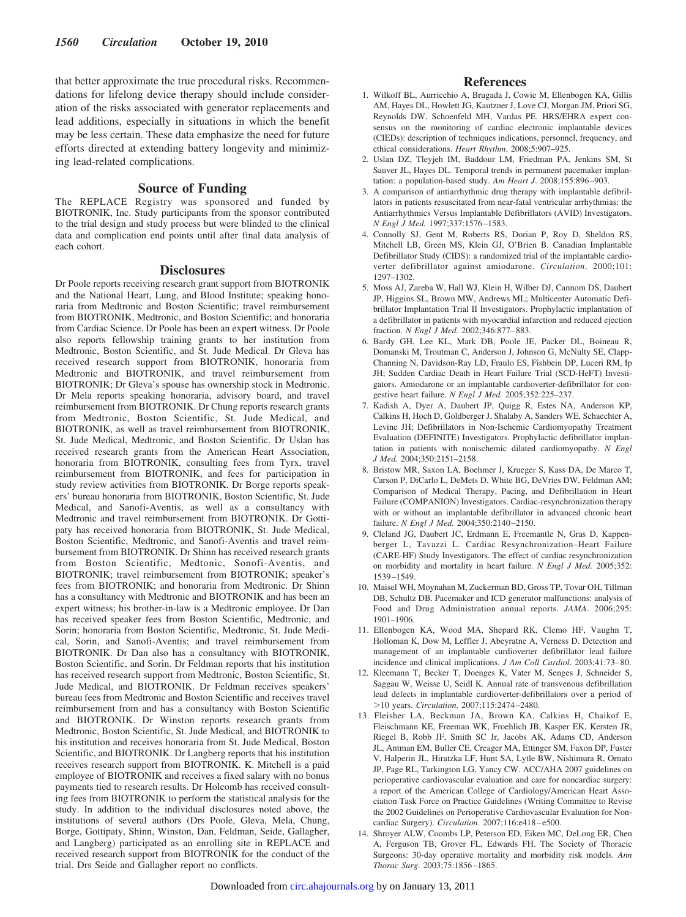that better approximate the true procedural risks. Recommendations for lifelong device therapy should include consideration of the risks associated with generator replacements and lead additions, especially in situations in which the benefit may be less certain. These data emphasize the need for future efforts directed at extending battery longevity and minimizing lead-related complications.

## **Source of Funding**

The REPLACE Registry was sponsored and funded by BIOTRONIK, Inc. Study participants from the sponsor contributed to the trial design and study process but were blinded to the clinical data and complication end points until after final data analysis of each cohort.

#### **Disclosures**

Dr Poole reports receiving research grant support from BIOTRONIK and the National Heart, Lung, and Blood Institute; speaking honoraria from Medtronic and Boston Scientific; travel reimbursement from BIOTRONIK, Medtronic, and Boston Scientific; and honoraria from Cardiac Science. Dr Poole has been an expert witness. Dr Poole also reports fellowship training grants to her institution from Medtronic, Boston Scientific, and St. Jude Medical. Dr Gleva has received research support from BIOTRONIK, honoraria from Medtronic and BIOTRONIK, and travel reimbursement from BIOTRONIK; Dr Gleva's spouse has ownership stock in Medtronic. Dr Mela reports speaking honoraria, advisory board, and travel reimbursement from BIOTRONIK. Dr Chung reports research grants from Medtronic, Boston Scientific, St. Jude Medical, and BIOTRONIK, as well as travel reimbursement from BIOTRONIK, St. Jude Medical, Medtronic, and Boston Scientific. Dr Uslan has received research grants from the American Heart Association, honoraria from BIOTRONIK, consulting fees from Tyrx, travel reimbursement from BIOTRONIK, and fees for participation in study review activities from BIOTRONIK. Dr Borge reports speakers' bureau honoraria from BIOTRONIK, Boston Scientific, St. Jude Medical, and Sanofi-Aventis, as well as a consultancy with Medtronic and travel reimbursement from BIOTRONIK. Dr Gottipaty has received honoraria from BIOTRONIK, St. Jude Medical, Boston Scientific, Medtronic, and Sanofi-Aventis and travel reimbursement from BIOTRONIK. Dr Shinn has received research grants from Boston Scientific, Medtonic, Sonofi-Aventis, and BIOTRONIK; travel reimbursement from BIOTRONIK; speaker's fees from BIOTRONIK; and honoraria from Medtronic. Dr Shinn has a consultancy with Medtronic and BIOTRONIK and has been an expert witness; his brother-in-law is a Medtronic employee. Dr Dan has received speaker fees from Boston Scientific, Medtronic, and Sorin; honoraria from Boston Scientific, Medtronic, St. Jude Medical, Sorin, and Sanofi-Aventis; and travel reimbursement from BIOTRONIK. Dr Dan also has a consultancy with BIOTRONIK, Boston Scientific, and Sorin. Dr Feldman reports that his institution has received research support from Medtronic, Boston Scientific, St. Jude Medical, and BIOTRONIK. Dr Feldman receives speakers' bureau fees from Medtronic and Boston Scientific and receives travel reimbursement from and has a consultancy with Boston Scientific and BIOTRONIK. Dr Winston reports research grants from Medtronic, Boston Scientific, St. Jude Medical, and BIOTRONIK to his institution and receives honoraria from St. Jude Medical, Boston Scientific, and BIOTRONIK. Dr Langberg reports that his institution receives research support from BIOTRONIK. K. Mitchell is a paid employee of BIOTRONIK and receives a fixed salary with no bonus payments tied to research results. Dr Holcomb has received consulting fees from BIOTRONIK to perform the statistical analysis for the study. In addition to the individual disclosures noted above, the institutions of several authors (Drs Poole, Gleva, Mela, Chung, Borge, Gottipaty, Shinn, Winston, Dan, Feldman, Seide, Gallagher, and Langberg) participated as an enrolling site in REPLACE and received research support from BIOTRONIK for the conduct of the trial. Drs Seide and Gallagher report no conflicts.

## **References**

- 1. Wilkoff BL, Aurricchio A, Brugada J, Cowie M, Ellenbogen KA, Gillis AM, Hayes DL, Howlett JG, Kautzner J, Love CJ, Morgan JM, Priori SG, Reynolds DW, Schoenfeld MH, Vardas PE. HRS/EHRA expert consensus on the monitoring of cardiac electronic implantable devices (CIEDs): description of techniques indications, personnel, frequency, and ethical considerations. *Heart Rhythm*. 2008;5:907–925.
- 2. Uslan DZ, Tleyjeh IM, Baddour LM, Friedman PA, Jenkins SM, St Sauver JL, Hayes DL. Temporal trends in permanent pacemaker implantation: a population-based study. *Am Heart J*. 2008;155:896 –903.
- 3. A comparison of antiarrhythmic drug therapy with implantable defibrillators in patients resuscitated from near-fatal ventricular arrhythmias: the Antiarrhythmics Versus Implantable Defibrillators (AVID) Investigators. *N Engl J Med.* 1997;337:1576 –1583.
- 4. Connolly SJ, Gent M, Roberts RS, Dorian P, Roy D, Sheldon RS, Mitchell LB, Green MS, Klein GJ, O'Brien B. Canadian Implantable Defibrillator Study (CIDS): a randomized trial of the implantable cardioverter defibrillator against amiodarone. *Circulation*. 2000;101: 1297–1302.
- 5. Moss AJ, Zareba W, Hall WJ, Klein H, Wilber DJ, Cannom DS, Daubert JP, Higgins SL, Brown MW, Andrews ML; Multicenter Automatic Defibrillator Implantation Trial II Investigators. Prophylactic implantation of a defibrillator in patients with myocardial infarction and reduced ejection fraction. *N Engl J Med.* 2002;346:877– 883.
- 6. Bardy GH, Lee KL, Mark DB, Poole JE, Packer DL, Boineau R, Domanski M, Troutman C, Anderson J, Johnson G, McNulty SE, Clapp-Channing N, Davidson-Ray LD, Fraulo ES, Fishbein DP, Luceri RM, Ip JH; Sudden Cardiac Death in Heart Failure Trial (SCD-HeFT) Investigators. Amiodarone or an implantable cardioverter-defibrillator for congestive heart failure. *N Engl J Med.* 2005;352:225–237.
- 7. Kadish A, Dyer A, Daubert JP, Quigg R, Estes NA, Anderson KP, Calkins H, Hoch D, Goldberger J, Shalaby A, Sanders WE, Schaechter A, Levine JH; Defibrillators in Non-Ischemic Cardiomyopathy Treatment Evaluation (DEFINITE) Investigators. Prophylactic defibrillator implantation in patients with nonischemic dilated cardiomyopathy. *N Engl J Med.* 2004;350:2151–2158.
- 8. Bristow MR, Saxon LA, Boehmer J, Krueger S, Kass DA, De Marco T, Carson P, DiCarlo L, DeMets D, White BG, DeVries DW, Feldman AM; Comparison of Medical Therapy, Pacing, and Defibrillation in Heart Failure (COMPANION) Investigators. Cardiac-resynchronization therapy with or without an implantable defibrillator in advanced chronic heart failure. *N Engl J Med.* 2004;350:2140-2150.
- 9. Cleland JG, Daubert JC, Erdmann E, Freemantle N, Gras D, Kappenberger L, Tavazzi L. Cardiac Resynchronization–Heart Failure (CARE-HF) Study Investigators. The effect of cardiac resynchronization on morbidity and mortality in heart failure. *N Engl J Med.* 2005;352: 1539 –1549.
- 10. Maisel WH, Moynahan M, Zuckerman BD, Gross TP, Tovar OH, Tillman DB, Schultz DB. Pacemaker and ICD generator malfunctions: analysis of Food and Drug Administration annual reports. *JAMA*. 2006;295: 1901–1906.
- 11. Ellenbogen KA, Wood MA, Shepard RK, Clemo HF, Vaughn T, Holloman K, Dow M, Leffler J, Abeyratne A, Verness D. Detection and management of an implantable cardioverter defibrillator lead failure incidence and clinical implications. *J Am Coll Cardiol*. 2003;41:73– 80.
- 12. Kleemann T, Becker T, Doenges K, Vater M, Senges J, Schneider S, Saggau W, Weisse U, Seidl K. Annual rate of transvenous defibrillation lead defects in implantable cardioverter-defibrillators over a period of 10 years. *Circulation*. 2007;115:2474 –2480.
- 13. Fleisher LA, Beckman JA, Brown KA, Calkins H, Chaikof E, Fleischmann KE, Freeman WK, Froehlich JB, Kasper EK, Kersten JR, Riegel B, Robb JF, Smith SC Jr, Jacobs AK, Adams CD, Anderson JL, Antman EM, Buller CE, Creager MA, Ettinger SM, Faxon DP, Fuster V, Halperin JL, Hiratzka LF, Hunt SA, Lytle BW, Nishimura R, Ornato JP, Page RL, Tarkington LG, Yancy CW. ACC/AHA 2007 guidelines on perioperative cardiovascular evaluation and care for noncardiac surgery: a report of the American College of Cardiology/American Heart Association Task Force on Practice Guidelines (Writing Committee to Revise the 2002 Guidelines on Perioperative Cardiovascular Evaluation for Noncardiac Surgery). *Circulation*. 2007;116:e418 – e500.
- 14. Shroyer ALW, Coombs LP, Peterson ED, Eiken MC, DeLong ER, Chen A, Ferguson TB, Grover FL, Edwards FH. The Society of Thoracic Surgeons: 30-day operative mortality and morbidity risk models. *Ann Thorac Surg*. 2003;75:1856 –1865.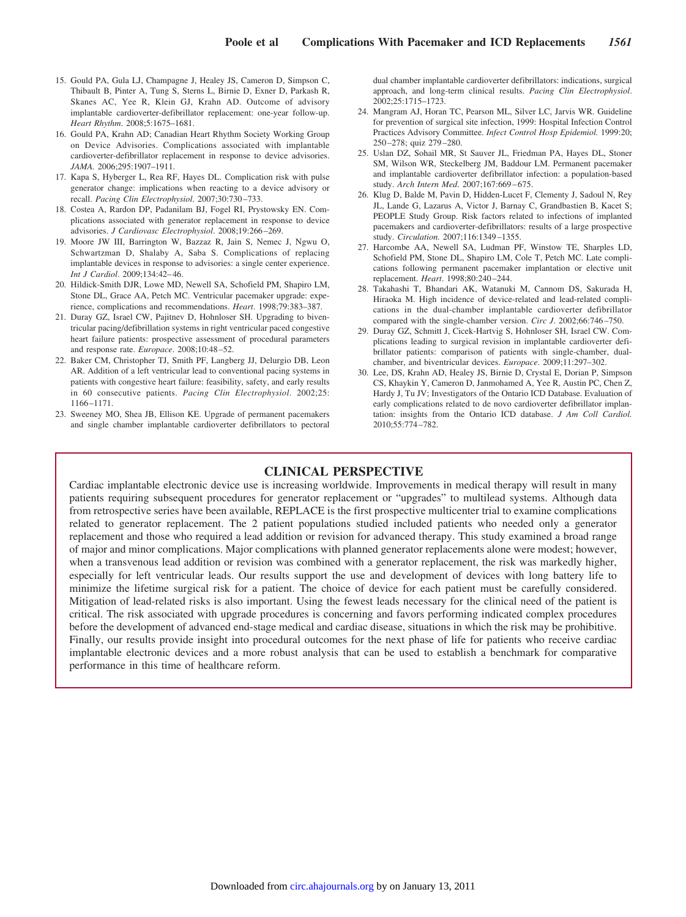- 15. Gould PA, Gula LJ, Champagne J, Healey JS, Cameron D, Simpson C, Thibault B, Pinter A, Tung S, Sterns L, Birnie D, Exner D, Parkash R, Skanes AC, Yee R, Klein GJ, Krahn AD. Outcome of advisory implantable cardioverter-defibrillator replacement: one-year follow-up. *Heart Rhythm*. 2008;5:1675–1681.
- 16. Gould PA, Krahn AD; Canadian Heart Rhythm Society Working Group on Device Advisories. Complications associated with implantable cardioverter-defibrillator replacement in response to device advisories. *JAMA.* 2006;295:1907–1911.
- 17. Kapa S, Hyberger L, Rea RF, Hayes DL. Complication risk with pulse generator change: implications when reacting to a device advisory or recall. *Pacing Clin Electrophysiol*. 2007;30:730 –733.
- 18. Costea A, Rardon DP, Padanilam BJ, Fogel RI, Prystowsky EN. Complications associated with generator replacement in response to device advisories. *J Cardiovasc Electrophysiol*. 2008;19:266 –269.
- 19. Moore JW III, Barrington W, Bazzaz R, Jain S, Nemec J, Ngwu O, Schwartzman D, Shalaby A, Saba S. Complications of replacing implantable devices in response to advisories: a single center experience. *Int J Cardiol*. 2009;134:42– 46.
- 20. Hildick-Smith DJR, Lowe MD, Newell SA, Schofield PM, Shapiro LM, Stone DL, Grace AA, Petch MC. Ventricular pacemaker upgrade: experience, complications and recommendations. *Heart*. 1998;79:383–387.
- 21. Duray GZ, Israel CW, Pajitnev D, Hohnloser SH. Upgrading to biventricular pacing/defibrillation systems in right ventricular paced congestive heart failure patients: prospective assessment of procedural parameters and response rate. *Europace*. 2008;10:48 –52.
- 22. Baker CM, Christopher TJ, Smith PF, Langberg JJ, Delurgio DB, Leon AR. Addition of a left ventricular lead to conventional pacing systems in patients with congestive heart failure: feasibility, safety, and early results in 60 consecutive patients. *Pacing Clin Electrophysiol*. 2002;25: 1166 –1171.
- 23. Sweeney MO, Shea JB, Ellison KE. Upgrade of permanent pacemakers and single chamber implantable cardioverter defibrillators to pectoral

dual chamber implantable cardioverter defibrillators: indications, surgical approach, and long-term clinical results. *Pacing Clin Electrophysiol*. 2002;25:1715–1723.

- 24. Mangram AJ, Horan TC, Pearson ML, Silver LC, Jarvis WR. Guideline for prevention of surgical site infection, 1999: Hospital Infection Control Practices Advisory Committee. *Infect Control Hosp Epidemiol.* 1999:20; 250 –278; quiz 279 –280.
- 25. Uslan DZ, Sohail MR, St Sauver JL, Friedman PA, Hayes DL, Stoner SM, Wilson WR, Steckelberg JM, Baddour LM. Permanent pacemaker and implantable cardioverter defibrillator infection: a population-based study. *Arch Intern Med*. 2007;167:669 – 675.
- 26. Klug D, Balde M, Pavin D, Hidden-Lucet F, Clementy J, Sadoul N, Rey JL, Lande G, Lazarus A, Victor J, Barnay C, Grandbastien B, Kacet S; PEOPLE Study Group. Risk factors related to infections of implanted pacemakers and cardioverter-defibrillators: results of a large prospective study. *Circulation.* 2007;116:1349 –1355.
- 27. Harcombe AA, Newell SA, Ludman PF, Winstow TE, Sharples LD, Schofield PM, Stone DL, Shapiro LM, Cole T, Petch MC. Late complications following permanent pacemaker implantation or elective unit replacement. *Heart*. 1998;80:240 –244.
- 28. Takahashi T, Bhandari AK, Watanuki M, Cannom DS, Sakurada H, Hiraoka M. High incidence of device-related and lead-related complications in the dual-chamber implantable cardioverter defibrillator compared with the single-chamber version. *Circ J*. 2002;66:746 –750.
- 29. Duray GZ, Schmitt J, Cicek-Hartvig S, Hohnloser SH, Israel CW. Complications leading to surgical revision in implantable cardioverter defibrillator patients: comparison of patients with single-chamber, dualchamber, and biventricular devices. *Europace*. 2009;11:297–302.
- 30. Lee, DS, Krahn AD, Healey JS, Birnie D, Crystal E, Dorian P, Simpson CS, Khaykin Y, Cameron D, Janmohamed A, Yee R, Austin PC, Chen Z, Hardy J, Tu JV; Investigators of the Ontario ICD Database. Evaluation of early complications related to de novo cardioverter defibrillator implantation: insights from the Ontario ICD database. *J Am Coll Cardiol.* 2010;55:774 –782.

# **CLINICAL PERSPECTIVE**

Cardiac implantable electronic device use is increasing worldwide. Improvements in medical therapy will result in many patients requiring subsequent procedures for generator replacement or "upgrades" to multilead systems. Although data from retrospective series have been available, REPLACE is the first prospective multicenter trial to examine complications related to generator replacement. The 2 patient populations studied included patients who needed only a generator replacement and those who required a lead addition or revision for advanced therapy. This study examined a broad range of major and minor complications. Major complications with planned generator replacements alone were modest; however, when a transvenous lead addition or revision was combined with a generator replacement, the risk was markedly higher, especially for left ventricular leads. Our results support the use and development of devices with long battery life to minimize the lifetime surgical risk for a patient. The choice of device for each patient must be carefully considered. Mitigation of lead-related risks is also important. Using the fewest leads necessary for the clinical need of the patient is critical. The risk associated with upgrade procedures is concerning and favors performing indicated complex procedures before the development of advanced end-stage medical and cardiac disease, situations in which the risk may be prohibitive. Finally, our results provide insight into procedural outcomes for the next phase of life for patients who receive cardiac implantable electronic devices and a more robust analysis that can be used to establish a benchmark for comparative performance in this time of healthcare reform.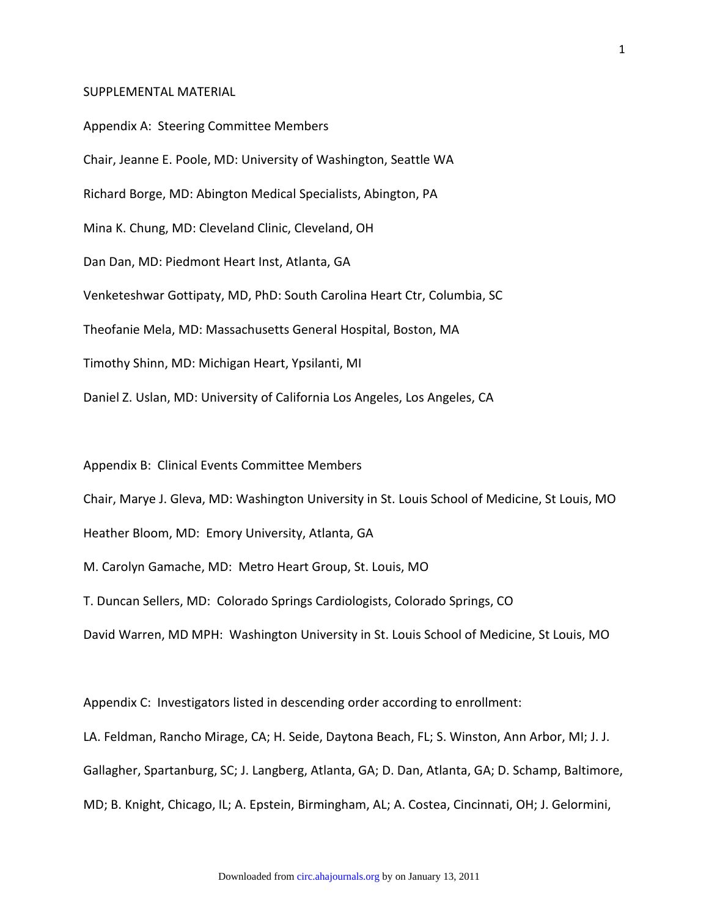# SUPPLEMENTAL MATERIAL

Appendix A: Steering Committee Members Chair, Jeanne E. Poole, MD: University of Washington, Seattle WA Richard Borge, MD: Abington Medical Specialists, Abington, PA Mina K. Chung, MD: Cleveland Clinic, Cleveland, OH Dan Dan, MD: Piedmont Heart Inst, Atlanta, GA Venketeshwar Gottipaty, MD, PhD: South Carolina Heart Ctr, Columbia, SC Theofanie Mela, MD: Massachusetts General Hospital, Boston, MA Timothy Shinn, MD: Michigan Heart, Ypsilanti, MI Daniel Z. Uslan, MD: University of California Los Angeles, Los Angeles, CA

Appendix B: Clinical Events Committee Members

Chair, Marye J. Gleva, MD: Washington University in St. Louis School of Medicine, St Louis, MO

Heather Bloom, MD: Emory University, Atlanta, GA

M. Carolyn Gamache, MD: Metro Heart Group, St. Louis, MO

T. Duncan Sellers, MD: Colorado Springs Cardiologists, Colorado Springs, CO

David Warren, MD MPH: Washington University in St. Louis School of Medicine, St Louis, MO

Appendix C: Investigators listed in descending order according to enrollment:

LA. Feldman, Rancho Mirage, CA; H. Seide, Daytona Beach, FL; S. Winston, Ann Arbor, MI; J. J.

Gallagher, Spartanburg, SC; J. Langberg, Atlanta, GA; D. Dan, Atlanta, GA; D. Schamp, Baltimore,

MD; B. Knight, Chicago, IL; A. Epstein, Birmingham, AL; A. Costea, Cincinnati, OH; J. Gelormini,